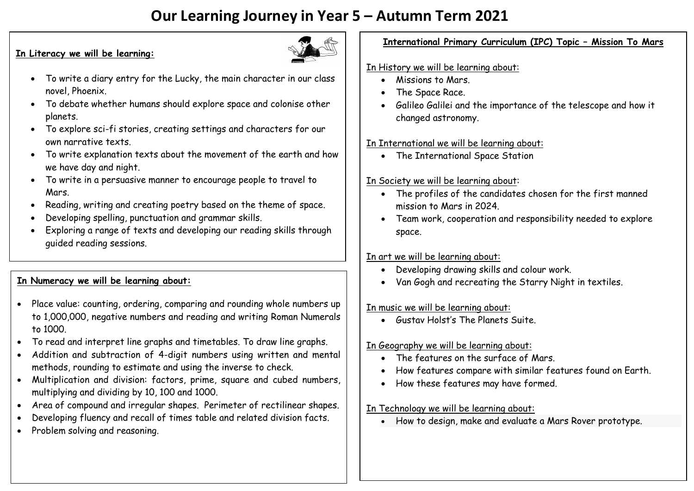# **Our Learning Journey in Year 5 – Autumn Term 2021**

#### **In Literacy we will be learning:**



- To write a diary entry for the Lucky, the main character in our class novel, Phoenix.
- To debate whether humans should explore space and colonise other planets.
- To explore sci-fi stories, creating settings and characters for our own narrative texts.
- To write explanation texts about the movement of the earth and how we have day and night.
- To write in a persuasive manner to encourage people to travel to Mars.
- Reading, writing and creating poetry based on the theme of space.
- Developing spelling, punctuation and grammar skills.
- Exploring a range of texts and developing our reading skills through guided reading sessions.

# **In Numeracy we will be learning about:**

- Place value: counting, ordering, comparing and rounding whole numbers up to 1,000,000, negative numbers and reading and writing Roman Numerals to 1000.
- To read and interpret line graphs and timetables. To draw line graphs.
- Addition and subtraction of 4-digit numbers using written and mental methods, rounding to estimate and using the inverse to check.
- Multiplication and division: factors, prime, square and cubed numbers, multiplying and dividing by 10, 100 and 1000.
- Area of compound and irregular shapes. Perimeter of rectilinear shapes.
- Developing fluency and recall of times table and related division facts.
- Problem solving and reasoning.

# **International Primary Curriculum (IPC) Topic – Mission To Mars**

## In History we will be learning about:

- $\bullet$  Missions to Mars
- The Space Race.
- Galileo Galilei and the importance of the telescope and how it changed astronomy.

## In International we will be learning about:

• The International Space Station

# In Society we will be learning about:

- The profiles of the candidates chosen for the first manned mission to Mars in 2024.
- Team work, cooperation and responsibility needed to explore space.

#### In art we will be learning about:

- Developing drawing skills and colour work.
- Van Gogh and recreating the Starry Night in textiles.

#### In music we will be learning about:

Gustav Holst's The Planets Suite.

## In Geography we will be learning about:

- The features on the surface of Mars.
- How features compare with similar features found on Earth.
- How these features may have formed.

## In Technology we will be learning about:

How to design, make and evaluate a Mars Rover prototype.